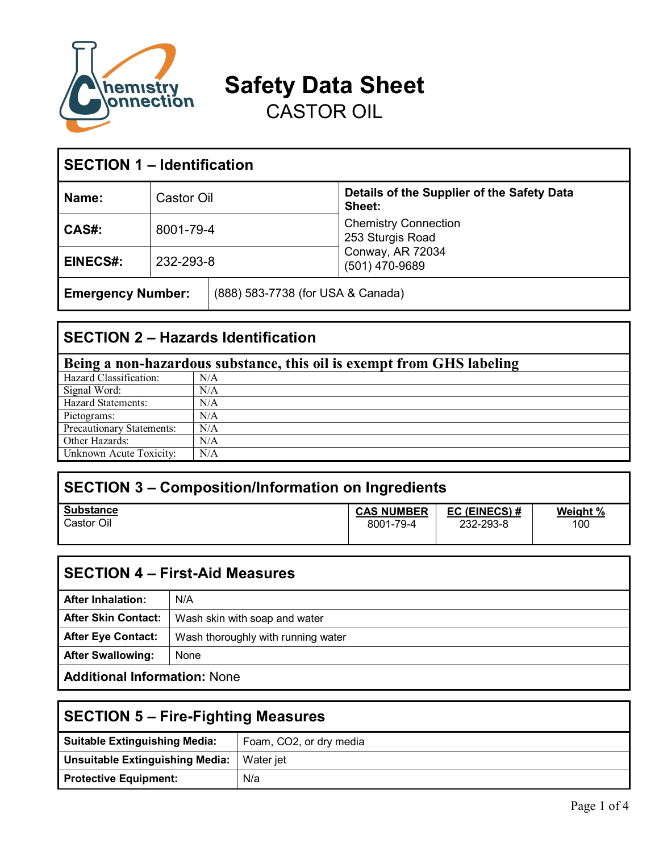

**Safety Data Sheet** CASTOR OIL

| <b>SECTION 1 – Identification</b> |            |                                   |                                                             |  |
|-----------------------------------|------------|-----------------------------------|-------------------------------------------------------------|--|
| Name:                             | Castor Oil |                                   | Details of the Supplier of the Safety Data<br><b>Sheet:</b> |  |
| CAS#:                             | 8001-79-4  |                                   | <b>Chemistry Connection</b><br>253 Sturgis Road             |  |
| <b>EINECS#:</b>                   | 232-293-8  |                                   | Conway, AR 72034<br>(501) 470-9689                          |  |
| <b>Emergency Number:</b>          |            | (888) 583-7738 (for USA & Canada) |                                                             |  |

# **SECTION 2 – Hazards Identification**

| Being a non-hazardous substance, this oil is exempt from GHS labeling |     |  |
|-----------------------------------------------------------------------|-----|--|
| Hazard Classification:                                                | N/A |  |
| Signal Word:                                                          | N/A |  |
| <b>Hazard Statements:</b>                                             | N/A |  |
| Pictograms:                                                           | N/A |  |
| Precautionary Statements:                                             | N/A |  |
| Other Hazards:                                                        | N/A |  |
| Unknown Acute Toxicity:                                               | N/A |  |
|                                                                       |     |  |

| <b>SECTION 3 – Composition/Information on Ingredients</b> |                   |               |          |
|-----------------------------------------------------------|-------------------|---------------|----------|
| <b>Substance</b>                                          | <b>CAS NUMBER</b> | EC (EINECS) # | Weight % |
| Castor Oil                                                | 8001-79-4         | 232-293-8     | 100      |

| <b>SECTION 4 – First-Aid Measures</b> |                                    |  |
|---------------------------------------|------------------------------------|--|
| <b>After Inhalation:</b>              | N/A                                |  |
| <b>After Skin Contact:</b>            | Wash skin with soap and water      |  |
| <b>After Eye Contact:</b>             | Wash thoroughly with running water |  |
| <b>After Swallowing:</b><br>None      |                                    |  |
| <b>Additional Information: None</b>   |                                    |  |

| <b>SECTION 5 – Fire-Fighting Measures</b> |                         |  |
|-------------------------------------------|-------------------------|--|
| <b>Suitable Extinguishing Media:</b>      | Foam, CO2, or dry media |  |
| <b>Unsuitable Extinguishing Media:</b>    | Water iet               |  |
| <b>Protective Equipment:</b>              | N/a                     |  |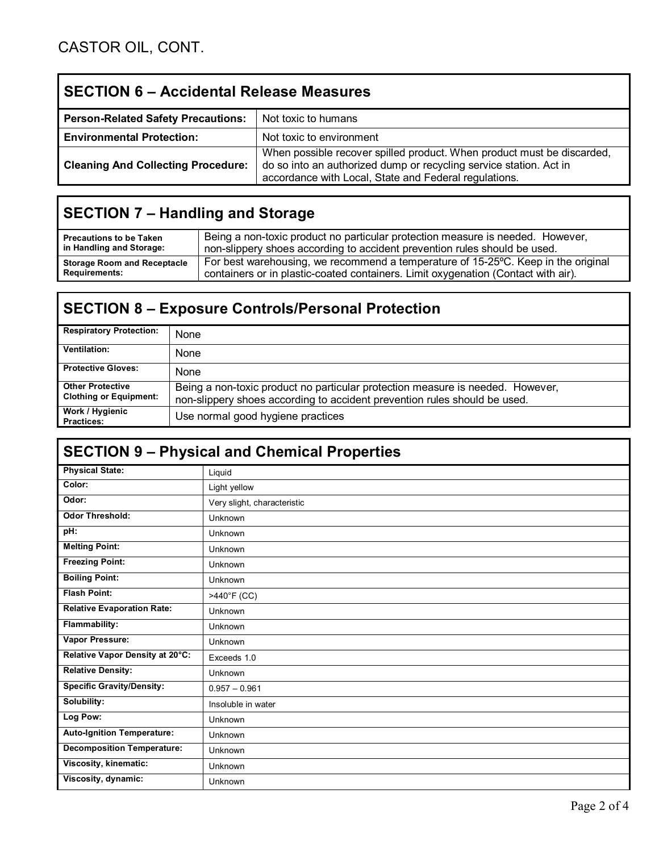## **SECTION 6 – Accidental Release Measures**

| <b>Person-Related Safety Precautions:</b> | Not toxic to humans                                                                                                                                                                                   |
|-------------------------------------------|-------------------------------------------------------------------------------------------------------------------------------------------------------------------------------------------------------|
| <b>Environmental Protection:</b>          | Not toxic to environment                                                                                                                                                                              |
| <b>Cleaning And Collecting Procedure:</b> | When possible recover spilled product. When product must be discarded,<br>do so into an authorized dump or recycling service station. Act in<br>accordance with Local, State and Federal regulations. |

## **SECTION 7 – Handling and Storage**

| <b>Precautions to be Taken</b>     | Being a non-toxic product no particular protection measure is needed. However,    |
|------------------------------------|-----------------------------------------------------------------------------------|
| in Handling and Storage:           | non-slippery shoes according to accident prevention rules should be used.         |
| <b>Storage Room and Receptacle</b> | For best warehousing, we recommend a temperature of 15-25°C. Keep in the original |
| <b>Requirements:</b>               | containers or in plastic-coated containers. Limit oxygenation (Contact with air). |

## **SECTION 8 – Exposure Controls/Personal Protection**

| <b>Respiratory Protection:</b>                           | None                                                                                                                                                        |
|----------------------------------------------------------|-------------------------------------------------------------------------------------------------------------------------------------------------------------|
| <b>Ventilation:</b>                                      | <b>None</b>                                                                                                                                                 |
| <b>Protective Gloves:</b>                                | None                                                                                                                                                        |
| <b>Other Protective</b><br><b>Clothing or Equipment:</b> | Being a non-toxic product no particular protection measure is needed. However,<br>non-slippery shoes according to accident prevention rules should be used. |
| Work / Hygienic<br><b>Practices:</b>                     | Use normal good hygiene practices                                                                                                                           |

## **SECTION 9 – Physical and Chemical Properties**

| Liquid                      |
|-----------------------------|
| Light yellow                |
| Very slight, characteristic |
| <b>Unknown</b>              |
| Unknown                     |
| Unknown                     |
| Unknown                     |
| Unknown                     |
| >440°F (CC)                 |
| <b>Unknown</b>              |
| Unknown                     |
| Unknown                     |
| Exceeds 1.0                 |
| Unknown                     |
| $0.957 - 0.961$             |
| Insoluble in water          |
| Unknown                     |
| Unknown                     |
| Unknown                     |
| Unknown                     |
| Unknown                     |
|                             |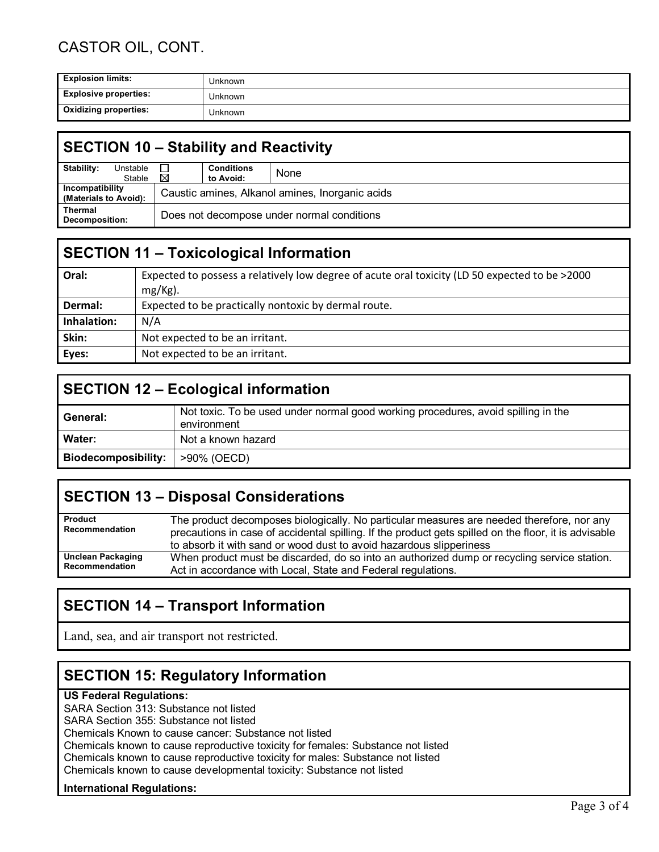### CASTOR OIL, CONT.

| <b>Explosion limits:</b>     | <b>Unknown</b> |
|------------------------------|----------------|
| <b>Explosive properties:</b> | <b>Unknown</b> |
| <b>Oxidizing properties:</b> | <b>Unknown</b> |

### **SECTION 10 – Stability and Reactivity**

| Stability:                               | Unstable<br>Stable | ⊠                                               | <b>Conditions</b><br>to Avoid: | None |
|------------------------------------------|--------------------|-------------------------------------------------|--------------------------------|------|
| Incompatibility<br>(Materials to Avoid): |                    | Caustic amines, Alkanol amines, Inorganic acids |                                |      |
| Thermal<br>Decomposition:                |                    | Does not decompose under normal conditions      |                                |      |

| <b>SECTION 11 - Toxicological Information</b> |                                                                                                              |  |  |
|-----------------------------------------------|--------------------------------------------------------------------------------------------------------------|--|--|
| Oral:                                         | Expected to possess a relatively low degree of acute oral toxicity (LD 50 expected to be >2000<br>$mg/Kg$ ). |  |  |
| Dermal:                                       | Expected to be practically nontoxic by dermal route.                                                         |  |  |
| Inhalation:                                   | N/A                                                                                                          |  |  |
| Skin:                                         | Not expected to be an irritant.                                                                              |  |  |
| Eyes:                                         | Not expected to be an irritant.                                                                              |  |  |

| <b>SECTION 12 – Ecological information</b> |                                                                                                  |  |
|--------------------------------------------|--------------------------------------------------------------------------------------------------|--|
| General:                                   | Not toxic. To be used under normal good working procedures, avoid spilling in the<br>environment |  |
| Water:                                     | Not a known hazard                                                                               |  |
| <b>Biodecomposibility:</b>                 | >90% (OECD)                                                                                      |  |

### **SECTION 13 – Disposal Considerations**

| <b>Product</b><br>Recommendation | The product decomposes biologically. No particular measures are needed therefore, nor any<br>precautions in case of accidental spilling. If the product gets spilled on the floor, it is advisable<br>to absorb it with sand or wood dust to avoid hazardous slipperiness |
|----------------------------------|---------------------------------------------------------------------------------------------------------------------------------------------------------------------------------------------------------------------------------------------------------------------------|
| <b>Unclean Packaging</b>         | When product must be discarded, do so into an authorized dump or recycling service station.                                                                                                                                                                               |
| Recommendation                   | Act in accordance with Local, State and Federal regulations.                                                                                                                                                                                                              |

## **SECTION 14 – Transport Information**

Land, sea, and air transport not restricted.

### **SECTION 15: Regulatory Information**

#### **US Federal Regulations:**

SARA Section 313: Substance not listed SARA Section 355: Substance not listed Chemicals Known to cause cancer: Substance not listed Chemicals known to cause reproductive toxicity for females: Substance not listed Chemicals known to cause reproductive toxicity for males: Substance not listed Chemicals known to cause developmental toxicity: Substance not listed

#### **International Regulations:**